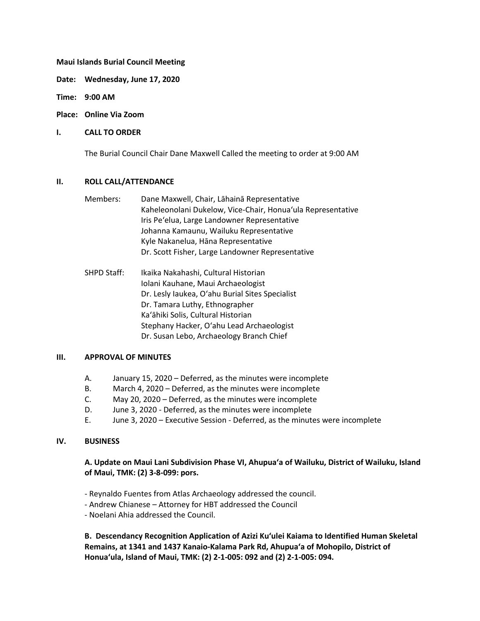### **Maui Islands Burial Council Meeting**

**Date: Wednesday, June 17, 2020**

**Time: 9:00 AM**

**Place: Online Via Zoom**

### **I. CALL TO ORDER**

The Burial Council Chair Dane Maxwell Called the meeting to order at 9:00 AM

#### **II. ROLL CALL/ATTENDANCE**

| Members: | Dane Maxwell, Chair, Lahaina Representative                 |
|----------|-------------------------------------------------------------|
|          | Kaheleonolani Dukelow, Vice-Chair, Honua'ula Representative |
|          | Iris Pe'elua, Large Landowner Representative                |
|          | Johanna Kamaunu, Wailuku Representative                     |
|          | Kyle Nakanelua, Hāna Representative                         |
|          | Dr. Scott Fisher, Large Landowner Representative            |

SHPD Staff: Ikaika Nakahashi, Cultural Historian Iolani Kauhane, Maui Archaeologist Dr. Lesly Iaukea, Oʻahu Burial Sites Specialist Dr. Tamara Luthy, Ethnographer Kaʻāhiki Solis, Cultural Historian Stephany Hacker, Oʻahu Lead Archaeologist Dr. Susan Lebo, Archaeology Branch Chief

#### **III. APPROVAL OF MINUTES**

- A. January 15, 2020 Deferred, as the minutes were incomplete
- B. March 4, 2020 Deferred, as the minutes were incomplete
- C. May 20, 2020 Deferred, as the minutes were incomplete
- D. June 3, 2020 Deferred, as the minutes were incomplete
- E. June 3, 2020 Executive Session Deferred, as the minutes were incomplete

### **IV. BUSINESS**

## **A. Update on Maui Lani Subdivision Phase VI, Ahupuaʻa of Wailuku, District of Wailuku, Island of Maui, TMK: (2) 3-8-099: pors.**

- Reynaldo Fuentes from Atlas Archaeology addressed the council.
- Andrew Chianese Attorney for HBT addressed the Council
- Noelani Ahia addressed the Council.

**B. Descendancy Recognition Application of Azizi Kuʻulei Kaiama to Identified Human Skeletal Remains, at 1341 and 1437 Kanaio-Kalama Park Rd, Ahupuaʻa of Mohopilo, District of Honuaʻula, Island of Maui, TMK: (2) 2-1-005: 092 and (2) 2-1-005: 094.**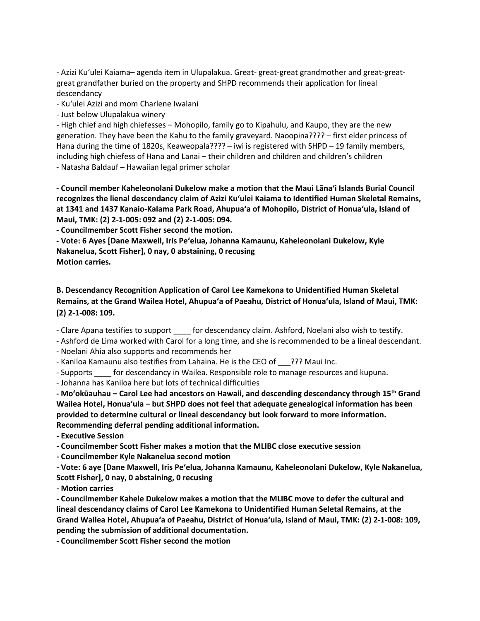- Azizi Kuʻulei Kaiama– agenda item in Ulupalakua. Great- great-great grandmother and great-greatgreat grandfather buried on the property and SHPD recommends their application for lineal descendancy

- Kuʻulei Azizi and mom Charlene Iwalani

- Just below Ulupalakua winery

- High chief and high chiefesses – Mohopilo, family go to Kipahulu, and Kaupo, they are the new generation. They have been the Kahu to the family graveyard. Naoopina???? – first elder princess of Hana during the time of 1820s, Keaweopala???? – iwi is registered with SHPD – 19 family members, including high chiefess of Hana and Lanai – their children and children and children's children

- Natasha Baldauf – Hawaiian legal primer scholar

**- Council member Kaheleonolani Dukelow make a motion that the Maui Lānaʻi Islands Burial Council recognizes the lienal descendancy claim of Azizi Kuʻulei Kaiama to Identified Human Skeletal Remains, at 1341 and 1437 Kanaio-Kalama Park Road, Ahupuaʻa of Mohopilo, District of Honuaʻula, Island of Maui, TMK: (2) 2-1-005: 092 and (2) 2-1-005: 094.**

**- Councilmember Scott Fisher second the motion.** 

**- Vote: 6 Ayes [Dane Maxwell, Iris Peʻelua, Johanna Kamaunu, Kaheleonolani Dukelow, Kyle Nakanelua, Scott Fisher], 0 nay, 0 abstaining, 0 recusing Motion carries.**

**B. Descendancy Recognition Application of Carol Lee Kamekona to Unidentified Human Skeletal Remains, at the Grand Wailea Hotel, Ahupuaʻa of Paeahu, District of Honuaʻula, Island of Maui, TMK: (2) 2-1-008: 109.**

- Clare Apana testifies to support for descendancy claim. Ashford, Noelani also wish to testify.

- Ashford de Lima worked with Carol for a long time, and she is recommended to be a lineal descendant.

- Noelani Ahia also supports and recommends her

- Kaniloa Kamaunu also testifies from Lahaina. He is the CEO of \_\_\_??? Maui Inc.

- Supports for descendancy in Wailea. Responsible role to manage resources and kupuna.

- Johanna has Kaniloa here but lots of technical difficulties

**- Moʻokūauhau – Carol Lee had ancestors on Hawaii, and descending descendancy through 15th Grand Wailea Hotel, Honuaʻula – but SHPD does not feel that adequate genealogical information has been provided to determine cultural or lineal descendancy but look forward to more information. Recommending deferral pending additional information.**

**- Executive Session**

**- Councilmember Scott Fisher makes a motion that the MLIBC close executive session**

**- Councilmember Kyle Nakanelua second motion**

**- Vote: 6 aye [Dane Maxwell, Iris Peʻelua, Johanna Kamaunu, Kaheleonolani Dukelow, Kyle Nakanelua, Scott Fisher], 0 nay, 0 abstaining, 0 recusing**

**- Motion carries**

**- Councilmember Kahele Dukelow makes a motion that the MLIBC move to defer the cultural and lineal descendancy claims of Carol Lee Kamekona to Unidentified Human Seletal Remains, at the Grand Wailea Hotel, Ahupuaʻa of Paeahu, District of Honuaʻula, Island of Maui, TMK: (2) 2-1-008: 109, pending the submission of additional documentation.**

**- Councilmember Scott Fisher second the motion**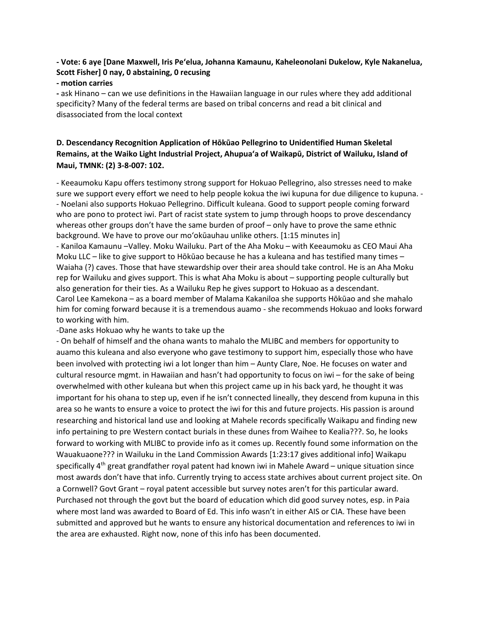# **- Vote: 6 aye [Dane Maxwell, Iris Peʻelua, Johanna Kamaunu, Kaheleonolani Dukelow, Kyle Nakanelua, Scott Fisher] 0 nay, 0 abstaining, 0 recusing**

### **- motion carries**

**-** ask Hinano – can we use definitions in the Hawaiian language in our rules where they add additional specificity? Many of the federal terms are based on tribal concerns and read a bit clinical and disassociated from the local context

# **D. Descendancy Recognition Application of Hōkūao Pellegrino to Unidentified Human Skeletal Remains, at the Waiko Light Industrial Project, Ahupuaʻa of Waikapū, District of Wailuku, Island of Maui, TMNK: (2) 3-8-007: 102.**

- Keeaumoku Kapu offers testimony strong support for Hokuao Pellegrino, also stresses need to make sure we support every effort we need to help people kokua the iwi kupuna for due diligence to kupuna. - - Noelani also supports Hokuao Pellegrino. Difficult kuleana. Good to support people coming forward who are pono to protect iwi. Part of racist state system to jump through hoops to prove descendancy whereas other groups don't have the same burden of proof – only have to prove the same ethnic background. We have to prove our moʻokūauhau unlike others. [1:15 minutes in]

- Kaniloa Kamaunu –Valley. Moku Wailuku. Part of the Aha Moku – with Keeaumoku as CEO Maui Aha Moku LLC – like to give support to Hōkūao because he has a kuleana and has testified many times – Waiaha (?) caves. Those that have stewardship over their area should take control. He is an Aha Moku rep for Wailuku and gives support. This is what Aha Moku is about – supporting people culturally but also generation for their ties. As a Wailuku Rep he gives support to Hokuao as a descendant. Carol Lee Kamekona – as a board member of Malama Kakaniloa she supports Hōkūao and she mahalo him for coming forward because it is a tremendous auamo - she recommends Hokuao and looks forward to working with him.

-Dane asks Hokuao why he wants to take up the

- On behalf of himself and the ohana wants to mahalo the MLIBC and members for opportunity to auamo this kuleana and also everyone who gave testimony to support him, especially those who have been involved with protecting iwi a lot longer than him – Aunty Clare, Noe. He focuses on water and cultural resource mgmt. in Hawaiian and hasn't had opportunity to focus on iwi – for the sake of being overwhelmed with other kuleana but when this project came up in his back yard, he thought it was important for his ohana to step up, even if he isn't connected lineally, they descend from kupuna in this area so he wants to ensure a voice to protect the iwi for this and future projects. His passion is around researching and historical land use and looking at Mahele records specifically Waikapu and finding new info pertaining to pre Western contact burials in these dunes from Waihee to Kealia???. So, he looks forward to working with MLIBC to provide info as it comes up. Recently found some information on the Wauakuaone??? in Wailuku in the Land Commission Awards [1:23:17 gives additional info] Waikapu specifically  $4<sup>th</sup>$  great grandfather royal patent had known iwi in Mahele Award – unique situation since most awards don't have that info. Currently trying to access state archives about current project site. On a Cornwell? Govt Grant – royal patent accessible but survey notes aren't for this particular award. Purchased not through the govt but the board of education which did good survey notes, esp. in Paia where most land was awarded to Board of Ed. This info wasn't in either AIS or CIA. These have been submitted and approved but he wants to ensure any historical documentation and references to iwi in the area are exhausted. Right now, none of this info has been documented.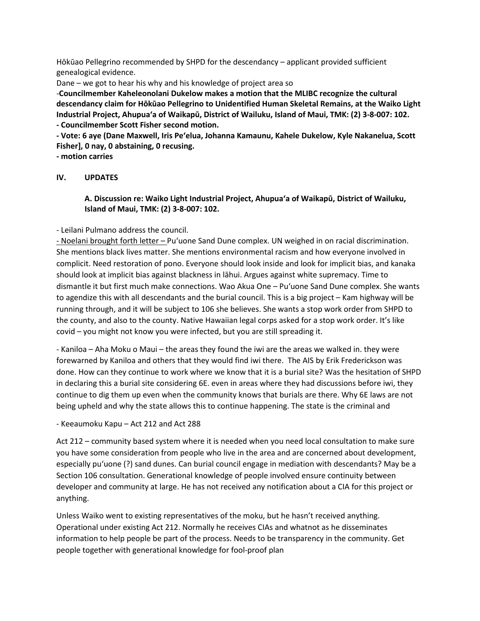Hōkūao Pellegrino recommended by SHPD for the descendancy – applicant provided sufficient genealogical evidence.

Dane – we got to hear his why and his knowledge of project area so

-**Councilmember Kaheleonolani Dukelow makes a motion that the MLIBC recognize the cultural descendancy claim for Hōkūao Pellegrino to Unidentified Human Skeletal Remains, at the Waiko Light Industrial Project, Ahupuaʻa of Waikapū, District of Wailuku, Island of Maui, TMK: (2) 3-8-007: 102. - Councilmember Scott Fisher second motion.**

**- Vote: 6 aye (Dane Maxwell, Iris Peʻelua, Johanna Kamaunu, Kahele Dukelow, Kyle Nakanelua, Scott Fisher], 0 nay, 0 abstaining, 0 recusing.**

**- motion carries**

## **IV. UPDATES**

# **A. Discussion re: Waiko Light Industrial Project, Ahupuaʻa of Waikapū, District of Wailuku, Island of Maui, TMK: (2) 3-8-007: 102.**

- Leilani Pulmano address the council.

- Noelani brought forth letter – Puʻuone Sand Dune complex. UN weighed in on racial discrimination. She mentions black lives matter. She mentions environmental racism and how everyone involved in complicit. Need restoration of pono. Everyone should look inside and look for implicit bias, and kanaka should look at implicit bias against blackness in lāhui. Argues against white supremacy. Time to dismantle it but first much make connections. Wao Akua One – Puʻuone Sand Dune complex. She wants to agendize this with all descendants and the burial council. This is a big project – Kam highway will be running through, and it will be subject to 106 she believes. She wants a stop work order from SHPD to the county, and also to the county. Native Hawaiian legal corps asked for a stop work order. It's like covid – you might not know you were infected, but you are still spreading it.

- Kaniloa – Aha Moku o Maui – the areas they found the iwi are the areas we walked in. they were forewarned by Kaniloa and others that they would find iwi there. The AIS by Erik Frederickson was done. How can they continue to work where we know that it is a burial site? Was the hesitation of SHPD in declaring this a burial site considering 6E. even in areas where they had discussions before iwi, they continue to dig them up even when the community knows that burials are there. Why 6E laws are not being upheld and why the state allows this to continue happening. The state is the criminal and

- Keeaumoku Kapu – Act 212 and Act 288

Act 212 – community based system where it is needed when you need local consultation to make sure you have some consideration from people who live in the area and are concerned about development, especially puʻuone (?) sand dunes. Can burial council engage in mediation with descendants? May be a Section 106 consultation. Generational knowledge of people involved ensure continuity between developer and community at large. He has not received any notification about a CIA for this project or anything.

Unless Waiko went to existing representatives of the moku, but he hasn't received anything. Operational under existing Act 212. Normally he receives CIAs and whatnot as he disseminates information to help people be part of the process. Needs to be transparency in the community. Get people together with generational knowledge for fool-proof plan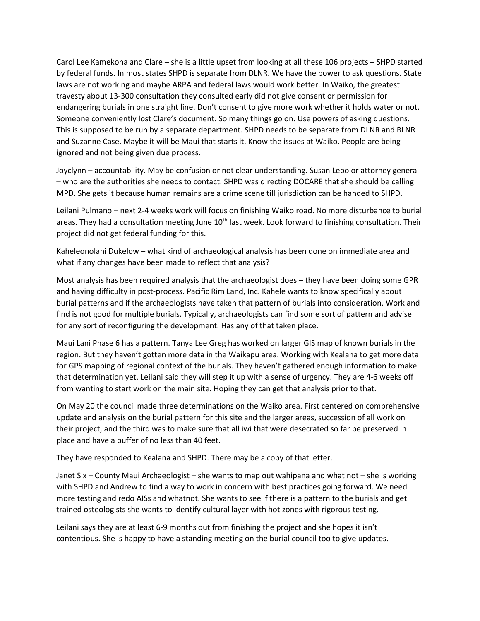Carol Lee Kamekona and Clare – she is a little upset from looking at all these 106 projects – SHPD started by federal funds. In most states SHPD is separate from DLNR. We have the power to ask questions. State laws are not working and maybe ARPA and federal laws would work better. In Waiko, the greatest travesty about 13-300 consultation they consulted early did not give consent or permission for endangering burials in one straight line. Don't consent to give more work whether it holds water or not. Someone conveniently lost Clare's document. So many things go on. Use powers of asking questions. This is supposed to be run by a separate department. SHPD needs to be separate from DLNR and BLNR and Suzanne Case. Maybe it will be Maui that starts it. Know the issues at Waiko. People are being ignored and not being given due process.

Joyclynn – accountability. May be confusion or not clear understanding. Susan Lebo or attorney general – who are the authorities she needs to contact. SHPD was directing DOCARE that she should be calling MPD. She gets it because human remains are a crime scene till jurisdiction can be handed to SHPD.

Leilani Pulmano – next 2-4 weeks work will focus on finishing Waiko road. No more disturbance to burial areas. They had a consultation meeting June  $10<sup>th</sup>$  last week. Look forward to finishing consultation. Their project did not get federal funding for this.

Kaheleonolani Dukelow – what kind of archaeological analysis has been done on immediate area and what if any changes have been made to reflect that analysis?

Most analysis has been required analysis that the archaeologist does – they have been doing some GPR and having difficulty in post-process. Pacific Rim Land, Inc. Kahele wants to know specifically about burial patterns and if the archaeologists have taken that pattern of burials into consideration. Work and find is not good for multiple burials. Typically, archaeologists can find some sort of pattern and advise for any sort of reconfiguring the development. Has any of that taken place.

Maui Lani Phase 6 has a pattern. Tanya Lee Greg has worked on larger GIS map of known burials in the region. But they haven't gotten more data in the Waikapu area. Working with Kealana to get more data for GPS mapping of regional context of the burials. They haven't gathered enough information to make that determination yet. Leilani said they will step it up with a sense of urgency. They are 4-6 weeks off from wanting to start work on the main site. Hoping they can get that analysis prior to that.

On May 20 the council made three determinations on the Waiko area. First centered on comprehensive update and analysis on the burial pattern for this site and the larger areas, succession of all work on their project, and the third was to make sure that all iwi that were desecrated so far be preserved in place and have a buffer of no less than 40 feet.

They have responded to Kealana and SHPD. There may be a copy of that letter.

Janet Six – County Maui Archaeologist – she wants to map out wahipana and what not – she is working with SHPD and Andrew to find a way to work in concern with best practices going forward. We need more testing and redo AISs and whatnot. She wants to see if there is a pattern to the burials and get trained osteologists she wants to identify cultural layer with hot zones with rigorous testing.

Leilani says they are at least 6-9 months out from finishing the project and she hopes it isn't contentious. She is happy to have a standing meeting on the burial council too to give updates.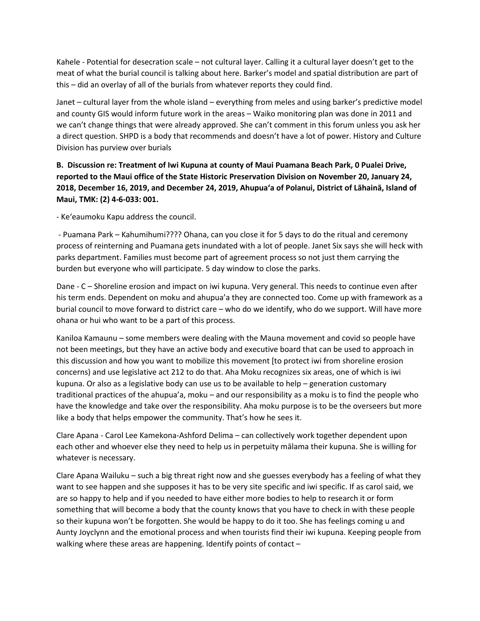Kahele - Potential for desecration scale – not cultural layer. Calling it a cultural layer doesn't get to the meat of what the burial council is talking about here. Barker's model and spatial distribution are part of this – did an overlay of all of the burials from whatever reports they could find.

Janet – cultural layer from the whole island – everything from meles and using barker's predictive model and county GIS would inform future work in the areas – Waiko monitoring plan was done in 2011 and we can't change things that were already approved. She can't comment in this forum unless you ask her a direct question. SHPD is a body that recommends and doesn't have a lot of power. History and Culture Division has purview over burials

# **B. Discussion re: Treatment of Iwi Kupuna at county of Maui Puamana Beach Park, 0 Pualei Drive, reported to the Maui office of the State Historic Preservation Division on November 20, January 24, 2018, December 16, 2019, and December 24, 2019, Ahupuaʻa of Polanui, District of Lāhainā, Island of Maui, TMK: (2) 4-6-033: 001.**

- Keʻeaumoku Kapu address the council.

- Puamana Park – Kahumihumi???? Ohana, can you close it for 5 days to do the ritual and ceremony process of reinterning and Puamana gets inundated with a lot of people. Janet Six says she will heck with parks department. Families must become part of agreement process so not just them carrying the burden but everyone who will participate. 5 day window to close the parks.

Dane - C – Shoreline erosion and impact on iwi kupuna. Very general. This needs to continue even after his term ends. Dependent on moku and ahupua'a they are connected too. Come up with framework as a burial council to move forward to district care – who do we identify, who do we support. Will have more ohana or hui who want to be a part of this process.

Kaniloa Kamaunu – some members were dealing with the Mauna movement and covid so people have not been meetings, but they have an active body and executive board that can be used to approach in this discussion and how you want to mobilize this movement [to protect iwi from shoreline erosion concerns) and use legislative act 212 to do that. Aha Moku recognizes six areas, one of which is iwi kupuna. Or also as a legislative body can use us to be available to help – generation customary traditional practices of the ahupua'a, moku – and our responsibility as a moku is to find the people who have the knowledge and take over the responsibility. Aha moku purpose is to be the overseers but more like a body that helps empower the community. That's how he sees it.

Clare Apana - Carol Lee Kamekona-Ashford Delima – can collectively work together dependent upon each other and whoever else they need to help us in perpetuity mālama their kupuna. She is willing for whatever is necessary.

Clare Apana Wailuku – such a big threat right now and she guesses everybody has a feeling of what they want to see happen and she supposes it has to be very site specific and iwi specific. If as carol said, we are so happy to help and if you needed to have either more bodies to help to research it or form something that will become a body that the county knows that you have to check in with these people so their kupuna won't be forgotten. She would be happy to do it too. She has feelings coming u and Aunty Joyclynn and the emotional process and when tourists find their iwi kupuna. Keeping people from walking where these areas are happening. Identify points of contact -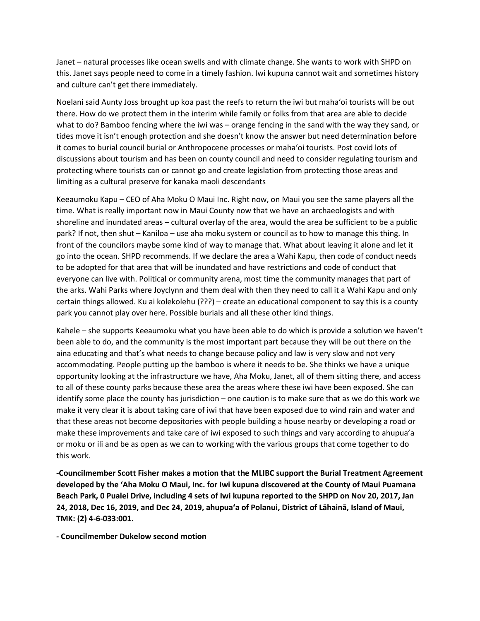Janet – natural processes like ocean swells and with climate change. She wants to work with SHPD on this. Janet says people need to come in a timely fashion. Iwi kupuna cannot wait and sometimes history and culture can't get there immediately.

Noelani said Aunty Joss brought up koa past the reefs to return the iwi but mahaʻoi tourists will be out there. How do we protect them in the interim while family or folks from that area are able to decide what to do? Bamboo fencing where the iwi was – orange fencing in the sand with the way they sand, or tides move it isn't enough protection and she doesn't know the answer but need determination before it comes to burial council burial or Anthropocene processes or mahaʻoi tourists. Post covid lots of discussions about tourism and has been on county council and need to consider regulating tourism and protecting where tourists can or cannot go and create legislation from protecting those areas and limiting as a cultural preserve for kanaka maoli descendants

Keeaumoku Kapu – CEO of Aha Moku O Maui Inc. Right now, on Maui you see the same players all the time. What is really important now in Maui County now that we have an archaeologists and with shoreline and inundated areas – cultural overlay of the area, would the area be sufficient to be a public park? If not, then shut – Kaniloa – use aha moku system or council as to how to manage this thing. In front of the councilors maybe some kind of way to manage that. What about leaving it alone and let it go into the ocean. SHPD recommends. If we declare the area a Wahi Kapu, then code of conduct needs to be adopted for that area that will be inundated and have restrictions and code of conduct that everyone can live with. Political or community arena, most time the community manages that part of the arks. Wahi Parks where Joyclynn and them deal with then they need to call it a Wahi Kapu and only certain things allowed. Ku ai kolekolehu (???) – create an educational component to say this is a county park you cannot play over here. Possible burials and all these other kind things.

Kahele – she supports Keeaumoku what you have been able to do which is provide a solution we haven't been able to do, and the community is the most important part because they will be out there on the aina educating and that's what needs to change because policy and law is very slow and not very accommodating. People putting up the bamboo is where it needs to be. She thinks we have a unique opportunity looking at the infrastructure we have, Aha Moku, Janet, all of them sitting there, and access to all of these county parks because these area the areas where these iwi have been exposed. She can identify some place the county has jurisdiction – one caution is to make sure that as we do this work we make it very clear it is about taking care of iwi that have been exposed due to wind rain and water and that these areas not become depositories with people building a house nearby or developing a road or make these improvements and take care of iwi exposed to such things and vary according to ahupua'a or moku or ili and be as open as we can to working with the various groups that come together to do this work.

**-Councilmember Scott Fisher makes a motion that the MLIBC support the Burial Treatment Agreement developed by the ʻAha Moku O Maui, Inc. for Iwi kupuna discovered at the County of Maui Puamana Beach Park, 0 Pualei Drive, including 4 sets of Iwi kupuna reported to the SHPD on Nov 20, 2017, Jan 24, 2018, Dec 16, 2019, and Dec 24, 2019, ahupuaʻa of Polanui, District of Lāhainā, Island of Maui, TMK: (2) 4-6-033:001.**

**- Councilmember Dukelow second motion**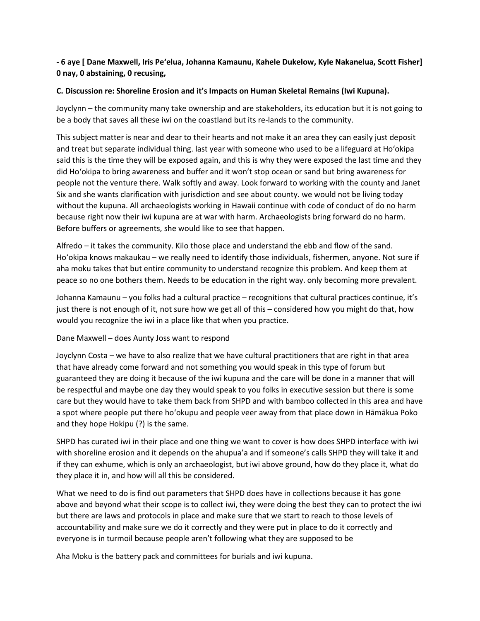**- 6 aye [ Dane Maxwell, Iris Peʻelua, Johanna Kamaunu, Kahele Dukelow, Kyle Nakanelua, Scott Fisher] 0 nay, 0 abstaining, 0 recusing,**

# **C. Discussion re: Shoreline Erosion and it's Impacts on Human Skeletal Remains (Iwi Kupuna).**

Joyclynn – the community many take ownership and are stakeholders, its education but it is not going to be a body that saves all these iwi on the coastland but its re-lands to the community.

This subject matter is near and dear to their hearts and not make it an area they can easily just deposit and treat but separate individual thing. last year with someone who used to be a lifeguard at Hoʻokipa said this is the time they will be exposed again, and this is why they were exposed the last time and they did Hoʻokipa to bring awareness and buffer and it won't stop ocean or sand but bring awareness for people not the venture there. Walk softly and away. Look forward to working with the county and Janet Six and she wants clarification with jurisdiction and see about county. we would not be living today without the kupuna. All archaeologists working in Hawaii continue with code of conduct of do no harm because right now their iwi kupuna are at war with harm. Archaeologists bring forward do no harm. Before buffers or agreements, she would like to see that happen.

Alfredo – it takes the community. Kilo those place and understand the ebb and flow of the sand. Hoʻokipa knows makaukau – we really need to identify those individuals, fishermen, anyone. Not sure if aha moku takes that but entire community to understand recognize this problem. And keep them at peace so no one bothers them. Needs to be education in the right way. only becoming more prevalent.

Johanna Kamaunu – you folks had a cultural practice – recognitions that cultural practices continue, it's just there is not enough of it, not sure how we get all of this – considered how you might do that, how would you recognize the iwi in a place like that when you practice.

## Dane Maxwell – does Aunty Joss want to respond

Joyclynn Costa – we have to also realize that we have cultural practitioners that are right in that area that have already come forward and not something you would speak in this type of forum but guaranteed they are doing it because of the iwi kupuna and the care will be done in a manner that will be respectful and maybe one day they would speak to you folks in executive session but there is some care but they would have to take them back from SHPD and with bamboo collected in this area and have a spot where people put there hoʻokupu and people veer away from that place down in Hāmākua Poko and they hope Hokipu (?) is the same.

SHPD has curated iwi in their place and one thing we want to cover is how does SHPD interface with iwi with shoreline erosion and it depends on the ahupua'a and if someone's calls SHPD they will take it and if they can exhume, which is only an archaeologist, but iwi above ground, how do they place it, what do they place it in, and how will all this be considered.

What we need to do is find out parameters that SHPD does have in collections because it has gone above and beyond what their scope is to collect iwi, they were doing the best they can to protect the iwi but there are laws and protocols in place and make sure that we start to reach to those levels of accountability and make sure we do it correctly and they were put in place to do it correctly and everyone is in turmoil because people aren't following what they are supposed to be

Aha Moku is the battery pack and committees for burials and iwi kupuna.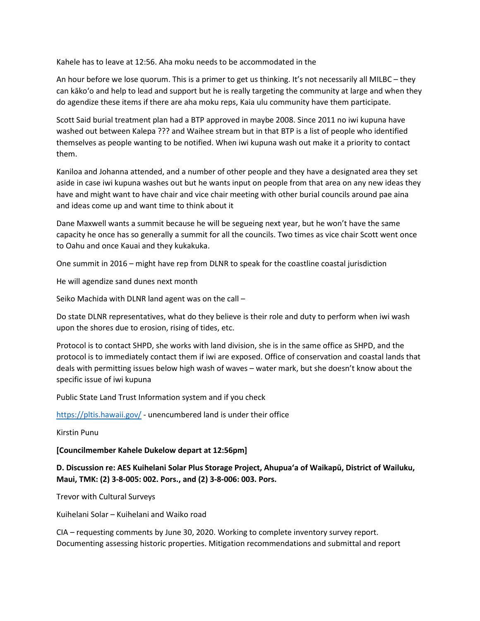Kahele has to leave at 12:56. Aha moku needs to be accommodated in the

An hour before we lose quorum. This is a primer to get us thinking. It's not necessarily all MILBC – they can kākoʻo and help to lead and support but he is really targeting the community at large and when they do agendize these items if there are aha moku reps, Kaia ulu community have them participate.

Scott Said burial treatment plan had a BTP approved in maybe 2008. Since 2011 no iwi kupuna have washed out between Kalepa ??? and Waihee stream but in that BTP is a list of people who identified themselves as people wanting to be notified. When iwi kupuna wash out make it a priority to contact them.

Kaniloa and Johanna attended, and a number of other people and they have a designated area they set aside in case iwi kupuna washes out but he wants input on people from that area on any new ideas they have and might want to have chair and vice chair meeting with other burial councils around pae aina and ideas come up and want time to think about it

Dane Maxwell wants a summit because he will be segueing next year, but he won't have the same capacity he once has so generally a summit for all the councils. Two times as vice chair Scott went once to Oahu and once Kauai and they kukakuka.

One summit in 2016 – might have rep from DLNR to speak for the coastline coastal jurisdiction

He will agendize sand dunes next month

Seiko Machida with DLNR land agent was on the call –

Do state DLNR representatives, what do they believe is their role and duty to perform when iwi wash upon the shores due to erosion, rising of tides, etc.

Protocol is to contact SHPD, she works with land division, she is in the same office as SHPD, and the protocol is to immediately contact them if iwi are exposed. Office of conservation and coastal lands that deals with permitting issues below high wash of waves – water mark, but she doesn't know about the specific issue of iwi kupuna

Public State Land Trust Information system and if you check

<https://pltis.hawaii.gov/> - unencumbered land is under their office

Kirstin Punu

**[Councilmember Kahele Dukelow depart at 12:56pm]**

**D. Discussion re: AES Kuihelani Solar Plus Storage Project, Ahupuaʻa of Waikapū, District of Wailuku, Maui, TMK: (2) 3-8-005: 002. Pors., and (2) 3-8-006: 003. Pors.**

Trevor with Cultural Surveys

Kuihelani Solar – Kuihelani and Waiko road

CIA – requesting comments by June 30, 2020. Working to complete inventory survey report. Documenting assessing historic properties. Mitigation recommendations and submittal and report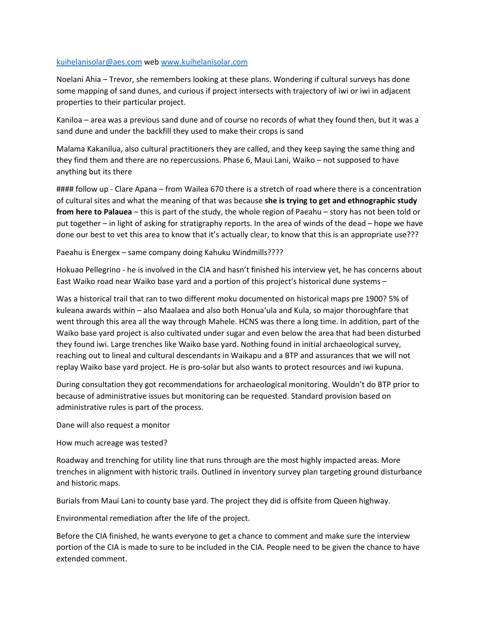## [kuihelanisolar@aes.com](mailto:kuihelanisolar@aes.com) web [www.kuihelanisolar.com](http://www.kuihelanisolar.com/)

Noelani Ahia – Trevor, she remembers looking at these plans. Wondering if cultural surveys has done some mapping of sand dunes, and curious if project intersects with trajectory of iwi or iwi in adjacent properties to their particular project.

Kaniloa – area was a previous sand dune and of course no records of what they found then, but it was a sand dune and under the backfill they used to make their crops is sand

Malama Kakanilua, also cultural practitioners they are called, and they keep saying the same thing and they find them and there are no repercussions. Phase 6, Maui Lani, Waiko – not supposed to have anything but its there

#### follow up - Clare Apana – from Wailea 670 there is a stretch of road where there is a concentration of cultural sites and what the meaning of that was because **she is trying to get and ethnographic study from here to Palauea** – this is part of the study, the whole region of Paeahu – story has not been told or put together – in light of asking for stratigraphy reports. In the area of winds of the dead – hope we have done our best to vet this area to know that it's actually clear, to know that this is an appropriate use???

Paeahu is Energex – same company doing Kahuku Windmills????

Hokuao Pellegrino - he is involved in the CIA and hasn't finished his interview yet, he has concerns about East Waiko road near Waiko base yard and a portion of this project's historical dune systems –

Was a historical trail that ran to two different moku documented on historical maps pre 1900? 5% of kuleana awards within – also Maalaea and also both Honuaʻula and Kula, so major thoroughfare that went through this area all the way through Mahele. HCNS was there a long time. In addition, part of the Waiko base yard project is also cultivated under sugar and even below the area that had been disturbed they found iwi. Large trenches like Waiko base yard. Nothing found in initial archaeological survey, reaching out to lineal and cultural descendants in Waikapu and a BTP and assurances that we will not replay Waiko base yard project. He is pro-solar but also wants to protect resources and iwi kupuna.

During consultation they got recommendations for archaeological monitoring. Wouldn't do BTP prior to because of administrative issues but monitoring can be requested. Standard provision based on administrative rules is part of the process.

Dane will also request a monitor

## How much acreage was tested?

Roadway and trenching for utility line that runs through are the most highly impacted areas. More trenches in alignment with historic trails. Outlined in inventory survey plan targeting ground disturbance and historic maps.

Burials from Maui Lani to county base yard. The project they did is offsite from Queen highway.

Environmental remediation after the life of the project.

Before the CIA finished, he wants everyone to get a chance to comment and make sure the interview portion of the CIA is made to sure to be included in the CIA. People need to be given the chance to have extended comment.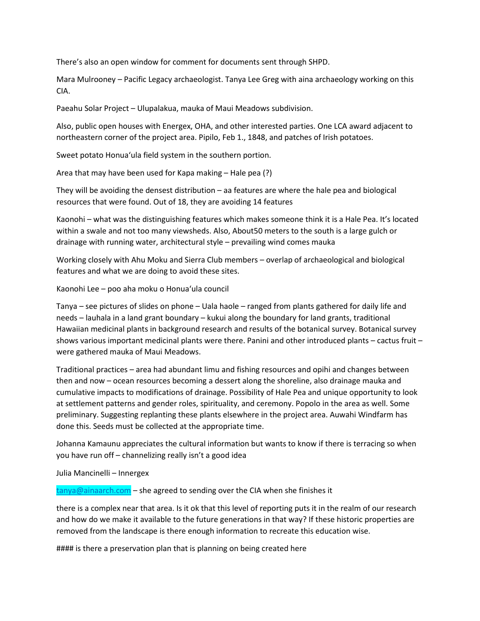There's also an open window for comment for documents sent through SHPD.

Mara Mulrooney – Pacific Legacy archaeologist. Tanya Lee Greg with aina archaeology working on this CIA.

Paeahu Solar Project – Ulupalakua, mauka of Maui Meadows subdivision.

Also, public open houses with Energex, OHA, and other interested parties. One LCA award adjacent to northeastern corner of the project area. Pipilo, Feb 1., 1848, and patches of Irish potatoes.

Sweet potato Honuaʻula field system in the southern portion.

Area that may have been used for Kapa making – Hale pea (?)

They will be avoiding the densest distribution – aa features are where the hale pea and biological resources that were found. Out of 18, they are avoiding 14 features

Kaonohi – what was the distinguishing features which makes someone think it is a Hale Pea. It's located within a swale and not too many viewsheds. Also, About50 meters to the south is a large gulch or drainage with running water, architectural style – prevailing wind comes mauka

Working closely with Ahu Moku and Sierra Club members – overlap of archaeological and biological features and what we are doing to avoid these sites.

Kaonohi Lee – poo aha moku o Honuaʻula council

Tanya – see pictures of slides on phone – Uala haole – ranged from plants gathered for daily life and needs – lauhala in a land grant boundary – kukui along the boundary for land grants, traditional Hawaiian medicinal plants in background research and results of the botanical survey. Botanical survey shows various important medicinal plants were there. Panini and other introduced plants – cactus fruit – were gathered mauka of Maui Meadows.

Traditional practices – area had abundant limu and fishing resources and opihi and changes between then and now – ocean resources becoming a dessert along the shoreline, also drainage mauka and cumulative impacts to modifications of drainage. Possibility of Hale Pea and unique opportunity to look at settlement patterns and gender roles, spirituality, and ceremony. Popolo in the area as well. Some preliminary. Suggesting replanting these plants elsewhere in the project area. Auwahi Windfarm has done this. Seeds must be collected at the appropriate time.

Johanna Kamaunu appreciates the cultural information but wants to know if there is terracing so when you have run off – channelizing really isn't a good idea

Julia Mancinelli – Innergex

[tanya@ainaarch.com](mailto:tanya@ainaarch.com) – she agreed to sending over the CIA when she finishes it

there is a complex near that area. Is it ok that this level of reporting puts it in the realm of our research and how do we make it available to the future generations in that way? If these historic properties are removed from the landscape is there enough information to recreate this education wise.

#### is there a preservation plan that is planning on being created here